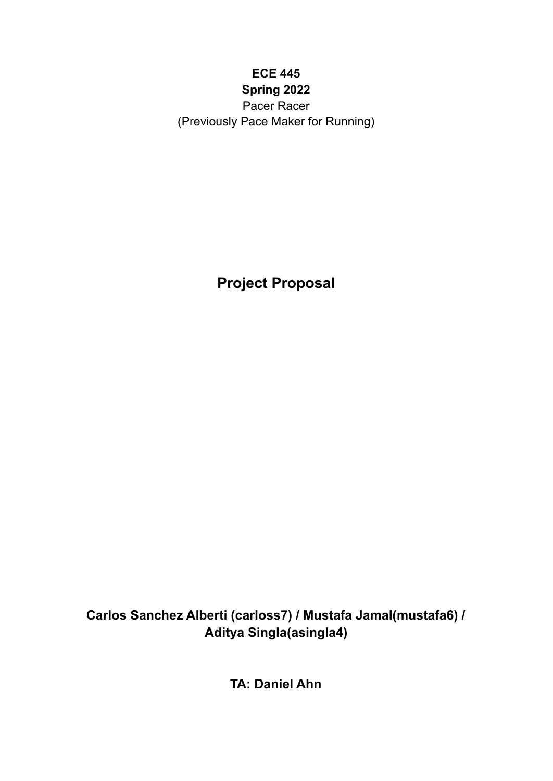# **ECE 445 Spring 2022**

Pacer Racer (Previously Pace Maker for Running)

**Project Proposal**

**Carlos Sanchez Alberti (carloss7) / Mustafa Jamal(mustafa6) / Aditya Singla(asingla4)**

**TA: Daniel Ahn**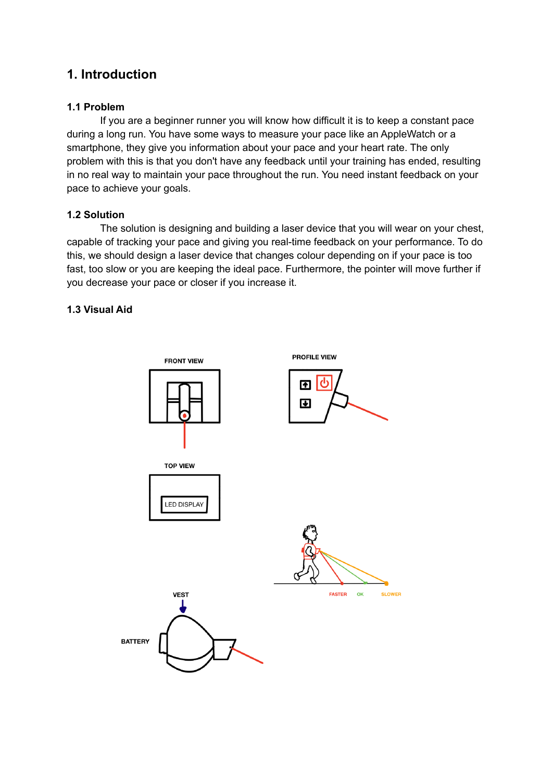# **1. Introduction**

# **1.1 Problem**

If you are a beginner runner you will know how difficult it is to keep a constant pace during a long run. You have some ways to measure your pace like an AppleWatch or a smartphone, they give you information about your pace and your heart rate. The only problem with this is that you don't have any feedback until your training has ended, resulting in no real way to maintain your pace throughout the run. You need instant feedback on your pace to achieve your goals.

## **1.2 Solution**

The solution is designing and building a laser device that you will wear on your chest, capable of tracking your pace and giving you real-time feedback on your performance. To do this, we should design a laser device that changes colour depending on if your pace is too fast, too slow or you are keeping the ideal pace. Furthermore, the pointer will move further if you decrease your pace or closer if you increase it.

# **1.3 Visual Aid**

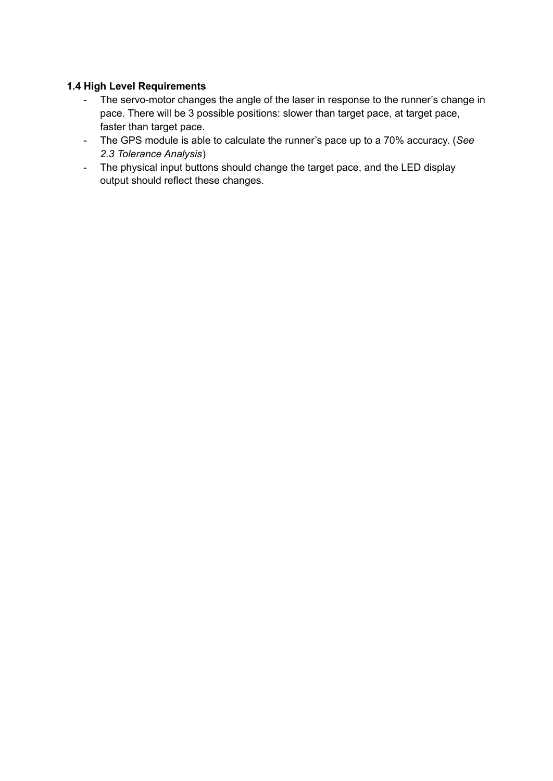## **1.4 High Level Requirements**

- The servo-motor changes the angle of the laser in response to the runner's change in pace. There will be 3 possible positions: slower than target pace, at target pace, faster than target pace.
- The GPS module is able to calculate the runner's pace up to a 70% accuracy. (*See 2.3 Tolerance Analysis*)
- The physical input buttons should change the target pace, and the LED display output should reflect these changes.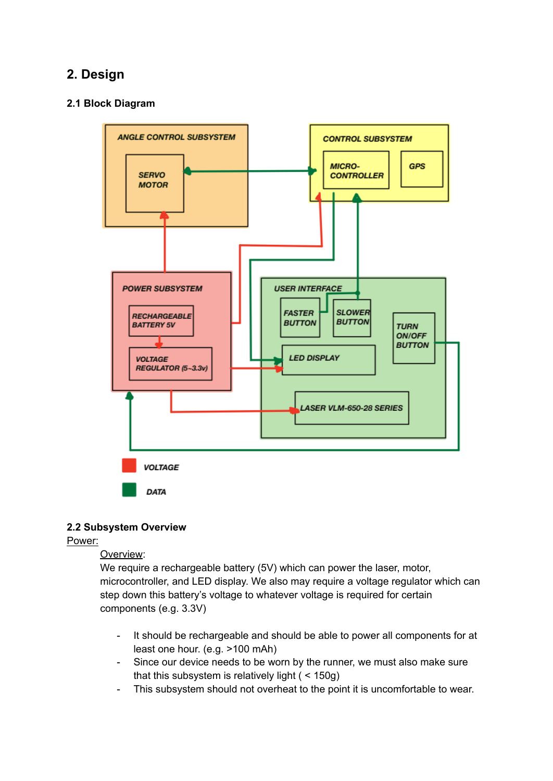# **2. Design**

## **2.1 Block Diagram**



#### **2.2 Subsystem Overview**

#### Power:

#### Overview:

We require a rechargeable battery (5V) which can power the laser, motor, microcontroller, and LED display. We also may require a voltage regulator which can step down this battery's voltage to whatever voltage is required for certain components (e.g. 3.3V)

- It should be rechargeable and should be able to power all components for at least one hour. (e.g. >100 mAh)
- Since our device needs to be worn by the runner, we must also make sure that this subsystem is relatively light ( < 150g)
- This subsystem should not overheat to the point it is uncomfortable to wear.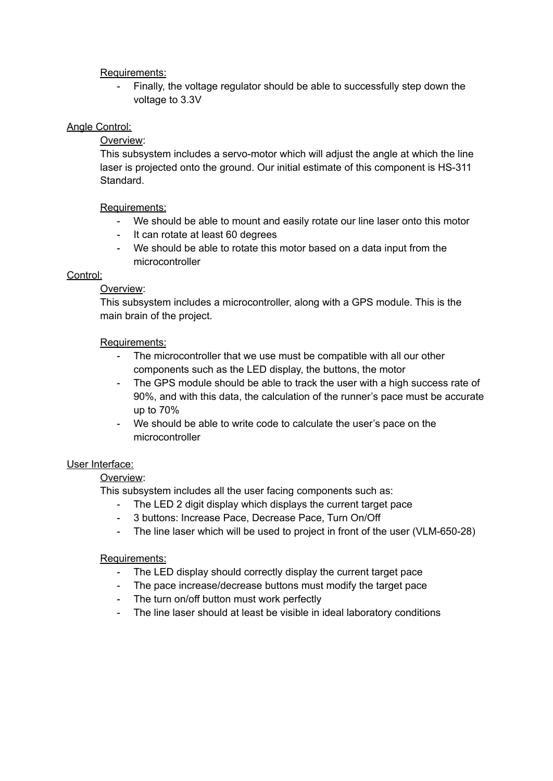### Requirements:

- Finally, the voltage regulator should be able to successfully step down the voltage to 3.3V

## Angle Control:

Overview:

This subsystem includes a servo-motor which will adjust the angle at which the line laser is projected onto the ground. Our initial estimate of this component is HS-311 Standard.

## Requirements:

- We should be able to mount and easily rotate our line laser onto this motor
- It can rotate at least 60 degrees
- We should be able to rotate this motor based on a data input from the microcontroller

## Control:

## Overview:

This subsystem includes a microcontroller, along with a GPS module. This is the main brain of the project.

## Requirements:

- The microcontroller that we use must be compatible with all our other components such as the LED display, the buttons, the motor
- The GPS module should be able to track the user with a high success rate of 90%, and with this data, the calculation of the runner's pace must be accurate up to 70%
- We should be able to write code to calculate the user's pace on the microcontroller

#### User Interface:

# Overview:

This subsystem includes all the user facing components such as:

- The LED 2 digit display which displays the current target pace
- 3 buttons: Increase Pace, Decrease Pace, Turn On/Off
- The line laser which will be used to project in front of the user (VLM-650-28)

#### Requirements:

- The LED display should correctly display the current target pace
- The pace increase/decrease buttons must modify the target pace
- The turn on/off button must work perfectly
- The line laser should at least be visible in ideal laboratory conditions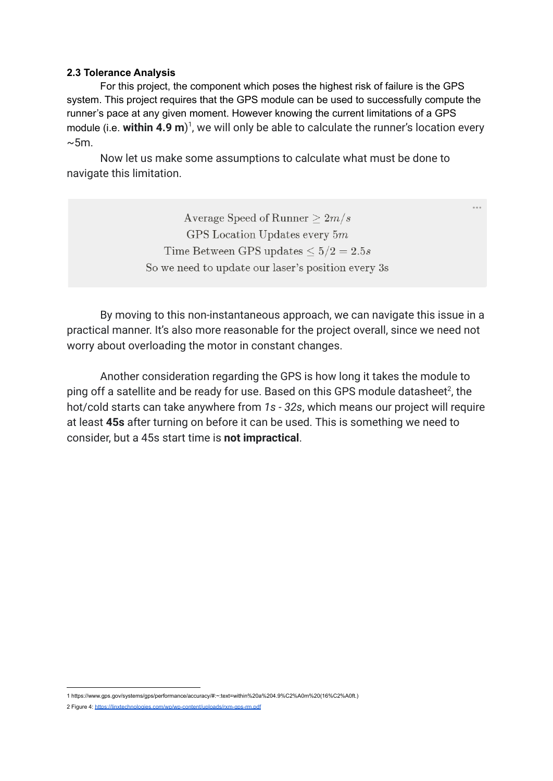#### **2.3 Tolerance Analysis**

For this project, the component which poses the highest risk of failure is the GPS system. This project requires that the GPS module can be used to successfully compute the runner's pace at any given moment. However knowing the current limitations of a GPS module (i.e. within 4.9 m)<sup>1</sup>, we will only be able to calculate the runner's location every  $\sim$ 5m.

Now let us make some assumptions to calculate what must be done to navigate this limitation.

> Average Speed of Runner  $> 2m/s$ GPS Location Updates every  $5m$ Time Between GPS updates  $\leq 5/2 = 2.5s$ So we need to update our laser's position every 3s

By moving to this non-instantaneous approach, we can navigate this issue in a practical manner. It's also more reasonable for the project overall, since we need not worry about overloading the motor in constant changes.

Another consideration regarding the GPS is how long it takes the module to ping off a satellite and be ready for use. Based on this GPS module datasheet<sup>2</sup>, the hot/cold starts can take anywhere from *1s - 32s*, which means our project will require at least **45s** after turning on before it can be used. This is something we need to consider, but a 45s start time is **not impractical**.

<sup>1</sup> https://www.gps.gov/systems/gps/performance/accuracy/#:~:text=within%20a%204.9%C2%A0m%20(16%C2%A0ft.)

<sup>2</sup> Figure 4: <https://linxtechnologies.com/wp/wp-content/uploads/rxm-gps-rm.pdf>